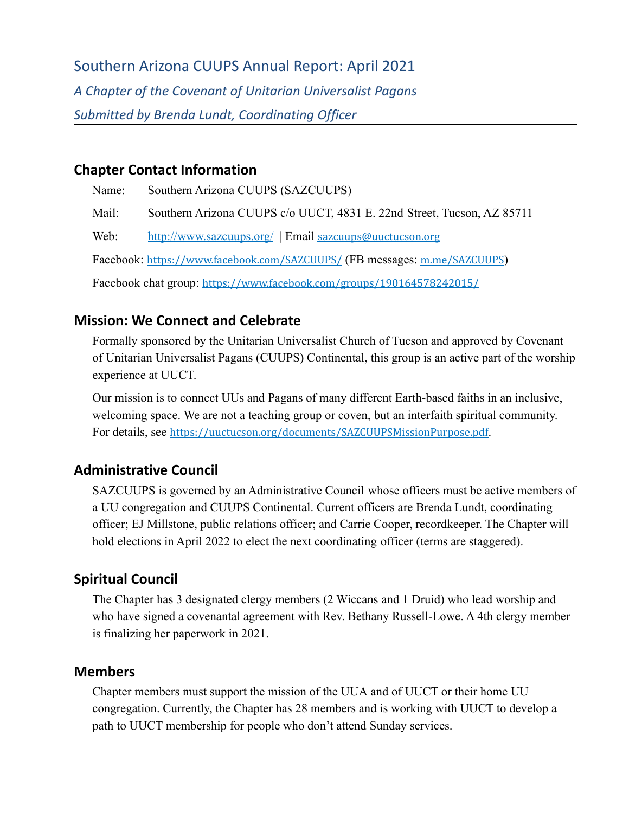Southern Arizona CUUPS Annual Report: April 2021 *A Chapter of the Covenant of Unitarian Universalist Pagans Submitted by Brenda Lundt, Coordinating Officer*

#### **Chapter Contact Information**

Name: Southern Arizona CUUPS (SAZCUUPS) Mail: Southern Arizona CUUPS c/o UUCT, 4831 E. 22nd Street, Tucson, AZ 85711 Web: <http://www.sazcuups.org/> | Email [sazcuups@uuctucson.org](mailto:sazcuups@uuctucson.org) Facebook: <https://www.facebook.com/SAZCUUPS/> (FB messages: m.me/SAZCUUPS) Facebook chat group: <https://www.facebook.com/groups/190164578242015/>

# **Mission: We Connect and Celebrate**

Formally sponsored by the Unitarian Universalist Church of Tucson and approved by Covenant of Unitarian Universalist Pagans (CUUPS) Continental, this group is an active part of the worship experience at UUCT.

Our mission is to connect UUs and Pagans of many different Earth-based faiths in an inclusive, welcoming space. We are not a teaching group or coven, but an interfaith spiritual community. For details, see <https://uuctucson.org/documents/SAZCUUPSMissionPurpose.pdf>.

# **Administrative Council**

SAZCUUPS is governed by an Administrative Council whose officers must be active members of a UU congregation and CUUPS Continental. Current officers are Brenda Lundt, coordinating officer; EJ Millstone, public relations officer; and Carrie Cooper, recordkeeper. The Chapter will hold elections in April 2022 to elect the next coordinating officer (terms are staggered).

# **Spiritual Council**

The Chapter has 3 designated clergy members (2 Wiccans and 1 Druid) who lead worship and who have signed a covenantal agreement with Rev. Bethany Russell-Lowe. A 4th clergy member is finalizing her paperwork in 2021.

#### **Members**

Chapter members must support the mission of the UUA and of UUCT or their home UU congregation. Currently, the Chapter has 28 members and is working with UUCT to develop a path to UUCT membership for people who don't attend Sunday services.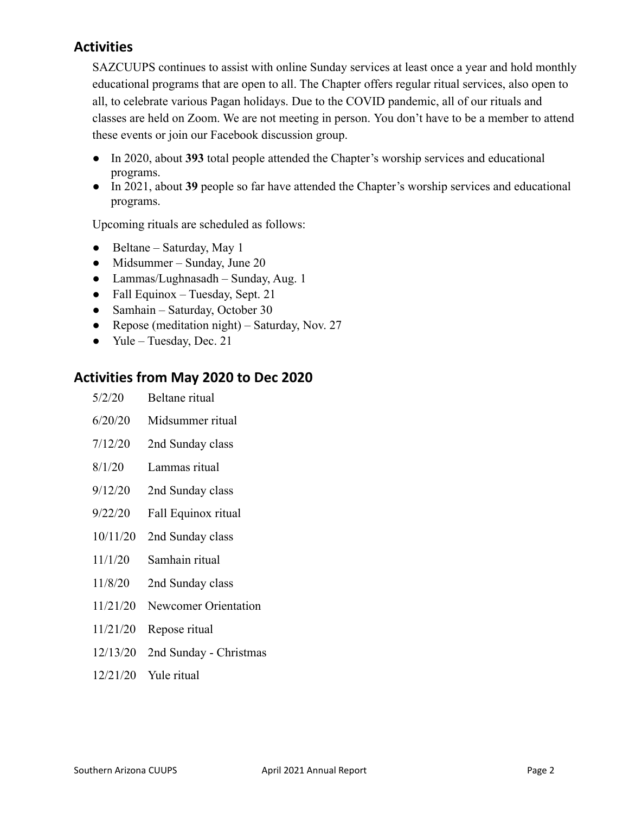# **Activities**

SAZCUUPS continues to assist with online Sunday services at least once a year and hold monthly educational programs that are open to all. The Chapter offers regular ritual services, also open to all, to celebrate various Pagan holidays. Due to the COVID pandemic, all of our rituals and classes are held on Zoom. We are not meeting in person. You don't have to be a member to attend these events or join our Facebook discussion group.

- In 2020, about **393** total people attended the Chapter's worship services and educational programs.
- In 2021, about **39** people so far have attended the Chapter's worship services and educational programs.

Upcoming rituals are scheduled as follows:

- $\bullet$  Beltane Saturday, May 1
- Midsummer Sunday, June 20
- Lammas/Lughnasadh Sunday, Aug. 1
- Fall Equinox Tuesday, Sept. 21
- Samhain Saturday, October 30
- Repose (meditation night) Saturday, Nov. 27
- Yule Tuesday, Dec. 21

#### **Activities from May 2020 to Dec 2020**

| 5/2/20  | Beltane ritual   |
|---------|------------------|
| 6/20/20 | Midsummer ritual |
| 7/12/20 | 2nd Sunday class |

- 8/1/20 Lammas ritual
- 9/12/20 2nd Sunday class
- 9/22/20 Fall Equinox ritual
- 10/11/20 2nd Sunday class
- 11/1/20 Samhain ritual
- 11/8/20 2nd Sunday class
- 11/21/20 Newcomer Orientation
- 11/21/20 Repose ritual
- 12/13/20 2nd Sunday Christmas
- 12/21/20 Yule ritual